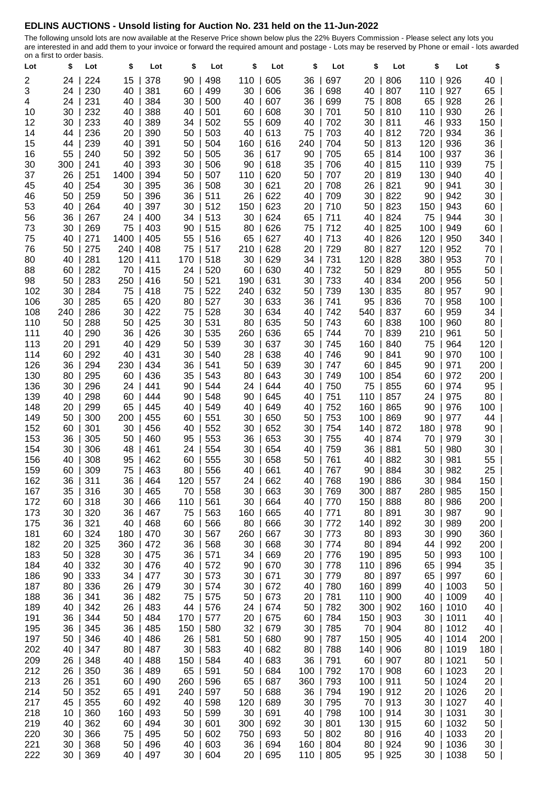## **EDLINS AUCTIONS - Unsold listing for Auction No. 231 held on the 11-Jun-2022**

The following unsold lots are now available at the Reserve Price shown below plus the 22% Buyers Commission - Please select any lots you are interested in and add them to your invoice or forward the required amount and postage - Lots may be reserved by Phone or email - lots awarded on a first to order basis.

| Lot | งเน<br>\$ | Lot | \$   | Lot         | \$  | Lot         | \$        | Lot        | \$  | Lot | \$        | Lot      | \$  | Lot  | \$              |  |
|-----|-----------|-----|------|-------------|-----|-------------|-----------|------------|-----|-----|-----------|----------|-----|------|-----------------|--|
| 2   | 24        | 224 | 15   | 378         | 90  | 498         | 110       | 605        | 36  | 697 | 20        | 806      | 110 | 926  | 40              |  |
| 3   | 24        | 230 | 40   | 381         | 60  | 499         | 30        | 606        | 36  | 698 | 40        | 807      | 110 | 927  | 65              |  |
| 4   | 24        | 231 | 40   | 384         | 30  | 500         | 40        | 607        | 36  | 699 | 75        | 808      | 65  | 928  | 26              |  |
| 10  | 30        | 232 | 40   | 388         | 40  | 501         | 60        | 608        | 30  | 701 | 50        | 810      | 110 | 930  | 26              |  |
| 12  | 30        | 233 | 40   | 389         | 34  | 502         | 55        | 609        | 40  | 702 | 30        | 811      | 46  | 933  | 150             |  |
| 14  | 44        | 236 | 20   | 390         | 50  | 503         | 40        | 613        | 75  | 703 | 40        | 812      | 720 | 934  | 36              |  |
| 15  | 44        | 239 | 40   | 391         | 50  | 504         | 160       | 616        | 240 | 704 | 50        | 813      | 120 | 936  | 36              |  |
| 16  | 55        | 240 | 50   | 392         | 50  | 505         | 36        | 617        | 90  | 705 | 65        | 814      | 100 | 937  | 36 I            |  |
| 30  | 300       | 241 | 40   | 393         | 30  | 506         | 90        | 618        | 35  | 706 | 40        | 815      | 110 | 939  | 75 I            |  |
| 37  | 26        | 251 | 1400 | 394         | 50  | 507         | 110       | 620        | 50  | 707 | 20        | 819      | 130 | 940  | 40              |  |
| 45  | 40        | 254 | 30   | 395         | 36  | 508         |           | 30   621   | 20  | 708 | 26        | 821      | 90  | 941  | 30 l            |  |
| 46  | 50        | 259 | 50   | 396         | 36  | 511         | 26        | 622        | 40  | 709 | 30        | 822      | 90  | 942  | 30 l            |  |
| 53  | 40        | 264 | 40   | 397         | 30  | 512         | 150       | 623        | 20  | 710 | 50        | 823      | 150 | 943  | 60 l            |  |
| 56  | 36        | 267 | 24   | 400         | 34  | 513         | 30        | 624        | 65  | 711 | 40        | 824      | 75  | 944  | 30              |  |
| 73  | 30        | 269 | 75   | 403         | 90  | 515         | 80        | 626        | 75  | 712 | 40        | 825      | 100 | 949  | 60              |  |
| 75  | 40        | 271 | 1400 | 405         | 55  | 516         | 65        | 627        | 40  | 713 | 40        | 826      | 120 | 950  | 340             |  |
| 76  | 50        | 275 | 240  | 408         | 75  | 517         | 210       | 628        | 20  | 729 | 80        | 827      | 120 | 952  | 70              |  |
| 80  | 40        | 281 | 120  | 411         | 170 | 518         | 30        | 629        | 34  | 731 | 120       | 828      | 380 | 953  | 70              |  |
| 88  | 60        | 282 | 70   | 415         | 24  | 520         | 60        | 630        | 40  | 732 | 50        | 829      | 80  | 955  | 50              |  |
| 98  | 50        | 283 | 250  | 416         | 50  | 521         | 190       | 631        | 30  | 733 | 40        | 834      | 200 | 956  | 50              |  |
| 102 | 30        | 284 | 75   | 418         | 75  | 522         | 240       | 632        | 50  | 739 | 130       | 835      | 80  | 957  | $90$            |  |
| 106 | 30        | 285 | 65   | 420         | 80  | 527         | 30        | 633        | 36  | 741 | 95        | 836      | 70  | 958  | 100             |  |
| 108 | 240       | 286 | 30   | 422         | 75  | 528         |           | 30   634   | 40  | 742 | 540       | 837      | 60  | 959  | 34              |  |
| 110 | 50        | 288 | 50   | 425         | 30  | 531         | 80        | 635        | 50  | 743 | 60        | 838      | 100 | 960  | 80              |  |
| 111 | 40        | 290 | 36   | 426         | 30  | 535         | 260       | 636        | 65  | 744 | 70        | 839      | 210 | 961  | 50              |  |
| 113 | 20        | 291 | 40   | 429         | 50  | 539         | 30        | 637        | 30  | 745 | 160       | 840      | 75  | 964  | 120             |  |
| 114 | 60        | 292 | 40   | 431         | 30  | 540         | 28        | 638        | 40  | 746 | 90        | 841      | 90  | 970  | $100$           |  |
| 126 | 36        | 294 | 230  | 434         | 36  | 541         | 50        | 639        | 30  | 747 | 60        | 845      | 90  | 971  | 200             |  |
| 130 | 80        | 295 | 60   | 436         | 35  | 543         | 80        | 643        | 30  | 749 | 100       | 854      | 60  | 972  | $200$           |  |
| 136 | 30        | 296 | 24   | 441         | 90  | 544         | 24 I      | 644        | 40  | 750 | 75        | 855      | 60  | 974  | $95 \mid$       |  |
| 139 | 40        | 298 | 60   | 444         | 90  | 548         | 90        | $\mid$ 645 | 40  | 751 | 110       | 857      | 24  | 975  | 80 l            |  |
| 148 | 20        | 299 | 65   | 445         | 40  | 549         | 40        | 649        | 40  | 752 | 160       | 865      | 90  | 976  | 100             |  |
| 149 | 50        | 300 | 200  | 455         | 60  | 551         |           | 30   650   | 50  | 753 | 100       | 869      | 90  | 977  | 44 l            |  |
| 152 | 60        | 301 | 30   | 456         | 40  | 552         | 30        | 652        | 30  | 754 | 140       | 872      | 180 | 978  | 90 l            |  |
| 153 | 36        | 305 | 50   | 460         | 95  | 553         | 36        | 653        | 30  | 755 | 40        | 874      | 70  | 979  | 30 l            |  |
| 154 | 30        | 306 | 48   | 461         | 24  | 554         | 30        | 654        | 40  | 759 | 36        | 881      | 50  | 980  | 30 l            |  |
| 156 | 40        | 308 | 95   | 462         | 60  | 555         | 30        | 658        | 50  | 761 | 40        | 882      | 30  | 981  | 55              |  |
| 159 | 60        | 309 | 75   | 463         | 80  | 556         | 40        | 661        | 40  | 767 | 90        | 884      | 30  | 982  | 25              |  |
| 162 | 36        | 311 | 36   | 464         | 120 | 557         | 24        | 662        | 40  | 768 | 190       | 886      | 30  | 984  | $150$           |  |
| 167 | 35        | 316 | 30   | 465         | 70  | 558         |           | 30   663   | 30  | 769 | 300       | 887      | 280 | 985  | $150$           |  |
| 172 | 60        | 318 | 30   | 466         | 110 | 561         |           | 30   664   | 40  | 770 | 150       | 888      | 80  | 986  | $200$           |  |
| 173 | 30        | 320 | 36   | 467         | 75  | 563         |           | 160   665  | 40  | 771 | 80        | 891      | 30  | 987  | $90$            |  |
| 175 | 36        | 321 | 40   | 468         | 60  | 566         |           | 80   666   | 30  | 772 | 140       | 892      | 30  | 989  | $200$           |  |
| 181 | 60        | 324 | 180  | 470         | 30  | 567         | 260   667 |            | 30  | 773 | 80        | 893      | 30  | 990  | $360$           |  |
| 182 | 20        | 325 | 360  | 472         | 36  | 568         | 30        | 668        | 30  | 774 | 80        | 894      | 44  | 992  | $200$           |  |
| 183 | 50        | 328 | 30   | 475         | 36  | 571         |           | 34   669   | 20  | 776 | 190       | 895      | 50  | 993  | $100$           |  |
| 184 | 40        | 332 | 30   | 476         | 40  | 572         |           | 90   670   | 30  | 778 | 110       | 896      | 65  | 994  | $35$            |  |
| 186 | 90        | 333 | 34 I | 477         | 30  | 573         |           | 30   671   | 30  | 779 | 80        | 897      | 65  | 997  | $60$            |  |
| 187 | 80        | 336 | 26   | 479         | 30  | 574         |           | 30   672   | 40  | 780 | 160       | 899      | 40  | 1003 | 50 l            |  |
| 188 | 36        | 341 | 36   | 482         | 75  | 575         | 50        | 673        | 20  | 781 | 110       | 900      | 40  | 1009 | 40              |  |
| 189 | 40        | 342 | 26   | 483         | 44  | 576         |           | 24   674   | 50  | 782 | 300       | 902      | 160 | 1010 | 40              |  |
| 191 | 36        | 344 | 50   | 484         | 170 | 577         | 20        | 675        | 60  | 784 | 150       | 903      | 30  | 1011 | 40              |  |
| 195 | 36        | 345 | 36   | 485         | 150 | 580         | 32        | 679        | 30  | 785 | 70        | 904      | 80  | 1012 | 40              |  |
| 197 | 50        | 346 | 40   | 486         | 26  | 581         |           | 50   680   | 90  | 787 | 150       | 905      | 40  | 1014 | $200$           |  |
| 202 | 40        | 347 | 80   | 487         | 30  | 583         |           | 40   682   | 80  | 788 | 140       | 906      | 80  | 1019 | $180$           |  |
| 209 | 26        | 348 | 40   | 488         | 150 | 584         |           | 40   683   | 36  | 791 | 60        | 907      | 80  | 1021 | 50              |  |
| 212 | 26        | 350 | 36   | 489         | 65  | 591         |           | 50   684   | 100 | 792 | 170       | 908      | 60  | 1023 | 20 <sub>1</sub> |  |
| 213 | 26        | 351 | 60   | 490         | 260 | 596         | 65        | 687        | 360 | 793 | 100   911 |          | 50  | 1024 | 20 <sub>1</sub> |  |
| 214 | 50        | 352 | 65   | 491         | 240 | 597         |           | 50   688   | 36  | 794 | 190   912 |          | 20  | 1026 | 20 <sub>1</sub> |  |
| 217 | 45        | 355 | 60   | 492         | 40  | 598         | 120       | 689        | 30  | 795 |           | 70   913 | 30  | 1027 | 40              |  |
| 218 | 10        | 360 | 160  | 493         | 50  | 599         |           | 30   691   | 40  | 798 | 100       | 914      | 30  | 1031 | 30 <sub>1</sub> |  |
| 219 | 40        | 362 | 60   | $\vert$ 494 | 30  | 601         | 300   692 |            | 30  | 801 | 130       | 915      | 60  | 1032 | 50 l            |  |
| 220 | 30        | 366 | 75   | 495         | 50  | 602         | 750   693 |            | 50  | 802 | 80        | 916      | 40  | 1033 | 20 <sub>1</sub> |  |
| 221 | 30        | 368 | 50   | 496         | 40  | $\vert$ 603 |           | 36   694   | 160 | 804 |           | 80   924 | 90  | 1036 | 30 l            |  |
| 222 | 30        | 369 | 40   | 497         |     | 30   604    |           | 20   695   | 110 | 805 |           | 95   925 | 30  | 1038 | 50              |  |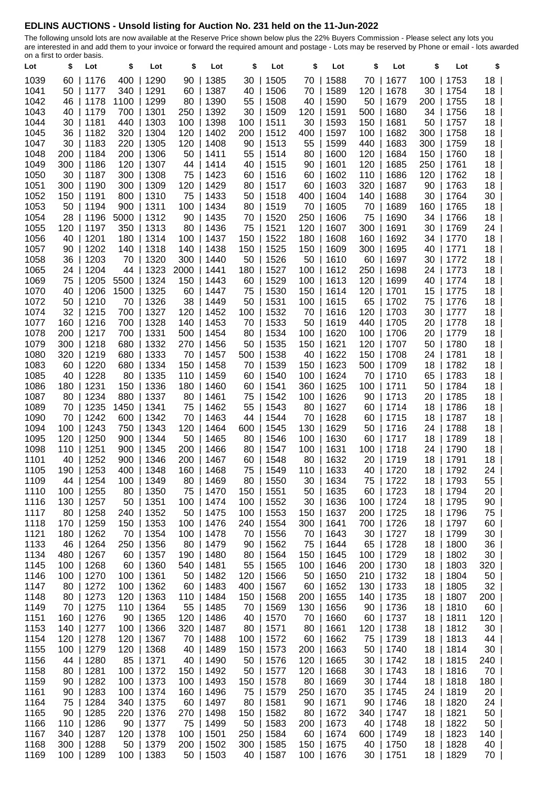## **EDLINS AUCTIONS - Unsold listing for Auction No. 231 held on the 11-Jun-2022**

The following unsold lots are now available at the Reserve Price shown below plus the 22% Buyers Commission - Please select any lots you are interested in and add them to your invoice or forward the required amount and postage - Lots may be reserved by Phone or email - lots awarded on a first to order basis.

| Lot          | \$       | Lot                      | \$         | Lot           | \$         | Lot                     | \$  | Lot                      | \$           | Lot                         | \$  | Lot                      | \$       | Lot                    | \$                                 |
|--------------|----------|--------------------------|------------|---------------|------------|-------------------------|-----|--------------------------|--------------|-----------------------------|-----|--------------------------|----------|------------------------|------------------------------------|
| 1039         |          | 60   1176                | 400        | 1290          | 90         | 1385                    | 30  | 1505                     | 70           | 1588                        | 70  | 1677<br>$\mathbf{I}$     | 100      | 1753                   | 18 <sup>1</sup>                    |
| 1041         |          | 50   1177                | 340        | 1291          | 60         | 1387                    | 40  | 1506                     | 70           | 1589                        | 120 | 1678                     | 30       | 1754                   | 18 <sup>1</sup>                    |
| 1042         | 46       | 1178                     | 1100       | 1299          | 80         | 1390                    | 55  | 1508                     | 40           | 1590                        | 50  | 1679                     | 200      | 1755                   | 18 <sup>1</sup>                    |
| 1043         | 40       | 1179                     | 700        | 1301          | 250        | 1392                    | 30  | 1509                     | 120          | 1591                        | 500 | 1680                     | 34       | 1756                   | 18 <sup>1</sup>                    |
| 1044         |          | 30   1181                | 440        | 1303          | 100        | 1398                    | 100 | 1511                     | 30           | 1593                        | 150 | 1681<br>$\mathbf{L}$     | 50       | 1757                   | 18 <sup>1</sup>                    |
| 1045         |          | 36   1182                | 320        | 1304          | 120        | 1402                    | 200 | 1512                     | 400          | 1597                        | 100 | 1682                     | 300      | 1758                   | 18 <sup>1</sup>                    |
| 1047         |          | $30$   1183              | 220        | 1305          | 120        | 1408                    | 90  | 1513                     | 55           | 1599                        | 440 | 1683                     | 300      | 1759                   | 18                                 |
| 1048         |          | 200   1184               | 200        | 1306          | 50         | 1411                    |     | 55   1514                | 80           | 1600                        | 120 | 1684<br>$\mathbf{L}$     | 150      | 1760                   | 18 <sup>1</sup>                    |
| 1049         |          | 300   1186               | 120        | 1307          |            | 44   1414               |     | 40   1515                | 90           | 1601                        | 120 | 1685                     | 250      | 1761                   | 18 <sup>1</sup>                    |
| 1050         |          | 30   1187                | 300        | 1308          | 75         | 1423                    |     | 60   1516                | $60 \mid$    | 1602                        | 110 | 1686<br>$\mathbf{I}$     | 120      | 1762                   | 18 <sup>1</sup>                    |
| 1051         | 300      | 1190                     | 300        | 1309          | 120        | 1429                    |     | 80   1517                | 60           | 1603                        | 320 | 1687                     | 90       | 1763                   | 18 <sup>1</sup>                    |
| 1052         | 150      | 1191                     | 800        | 1310          | 75         | 1433                    |     | $50$   1518              | 400          | 1604                        | 140 | 1688<br>$\mathbf{L}$     | 30       | 1764                   | 30 <sup>1</sup>                    |
| 1053         |          | $50$   1194              | 900        | 1311          | 100        | 1434                    |     | 80   1519                | 70           | 1605                        | 70  | 1689                     | 160      | 1765                   | 18 <sup>1</sup>                    |
| 1054         |          | 28   1196                | 5000       | 1312          | 90         | 1435                    |     | 70   1520                | 250          | 1606                        | 75  | 1690                     | 34       | 1766                   | 18 <sup>1</sup>                    |
| 1055         | 120      | 1197                     | 350        | 1313          | 80         | 1436                    | 75  | 1521                     | 120          | 1607                        | 300 | 1691                     | 30       | 1769                   | 24                                 |
| 1056         |          | 40   1201                | 180        | 1314          | 100        | 1437                    | 150 | 1522                     | 180          | 1608                        | 160 | 1692                     | 34       | 1770                   | 18                                 |
| 1057         |          | 90   1202                | 140        | 1318          | 140        | 1438                    | 150 | 1525                     | 150          | 1609                        | 300 | 1695                     | 40       | 1771                   | 18                                 |
| 1058         | 36       | 1203                     | 70         | 1320          | 300        | 1440                    | 50  | 1526                     | 50           | 1610                        | 60  | 1697                     | 30       | 1772                   | 18                                 |
| 1065         |          | 24   1204                | 44         | 1323          | 2000       | 1441                    | 180 | 1527                     | $100$        | 1612                        | 250 | 1698                     | 24       | 1773                   | 18                                 |
| 1069         | 75       | 1205                     | 5500       | 1324          | 150        | 1443                    | 60  | 1529                     | 100          | 1613                        | 120 | 1699                     | 40       | 1774                   | 18                                 |
| 1070         | 40       | 1206                     | 1500       | 1325          | 60         | 1447                    | 75  | 1530                     |              | 150   1614                  | 120 | 1701                     | 15       | 1775                   | 18 <sup>1</sup>                    |
| 1072         |          | 50   1210                | 70         | 1326          | 38         | 1449                    |     | 50   1531                |              | 100   1615                  | 65  | 1702                     | 75       | 1776                   | 18 <sup>1</sup>                    |
| 1074         |          | 32   1215                | 700        | 1327          | 120        | 1452                    | 100 | 1532                     | 70           | 1616                        | 120 | 1703                     | 30       | 1777                   | 18                                 |
| 1077         | 160      | 1216                     | 700        | 1328          | 140        | 1453                    | 70  | 1533                     | 50           | 1619                        | 440 | 1705                     | 20       | 1778                   | 18                                 |
| 1078         |          | 200   1217               | 700        | 1331          | 500        | 1454                    | 80  | 1534                     |              | 100   1620                  | 100 | 1706                     | 20       | 1779                   | 18                                 |
| 1079         |          | $300$   1218             | 680        | 1332          | 270        | 1456                    |     | 50   1535                |              | 150   1621                  | 120 | 1707<br>$\mathbf{I}$     | 50       | 1780                   | 18 <sup>1</sup>                    |
| 1080         | 320      | 1219                     | 680        | 1333          | 70         | 1457                    | 500 | 1538                     | 40           | 1622                        | 150 | 1708                     | 24       | 1781                   | 18 <sup>1</sup>                    |
| 1083<br>1085 | 60<br>40 | 1220<br> 1228            | 680<br>80  | 1334<br>1335  | 150        | 1458                    | 70  | 1539<br> 1540            | 150          | 1623<br> 1624               | 500 | 1709<br>$\mathbf{L}$     | 18       | 1782<br>1783           | 18 <sup>1</sup>                    |
| 1086         |          | 180   1231               | 150        | 1336          | 110<br>180 | 1459<br>  1460          | 60  | 60   1541                | 100<br>$360$ | 1625                        |     | 70   1710<br>100   1711  | 65<br>50 | 1784                   | 18 <sup>1</sup><br>18 <sup>1</sup> |
| 1087         |          | 80   1234                | 880        | 1337          | 80         | 1461                    | 75  | 1542                     | 100          | 1626                        | 90  | 1713                     | 20       | 1785                   | 18                                 |
| 1089         |          | 70   1235                | 1450       | 1341          | 75         | 1462                    |     | 55   1543                | 80           | 1627                        | 60  | 1714                     | 18       | 1786                   | 18 <sup>1</sup>                    |
| 1090         |          | 70   1242                | 600        | 1342          | 70         | 1463                    |     | 44   1544                | 70           | 1628                        | 60  | 1715                     | 18       | 1787                   | 18 <sup>1</sup>                    |
| 1094         |          | 100   1243               | 750        | 1343          | 120        | 1464                    | 600 | 1545                     | 130          | 1629                        | 50  | 1716                     | 24       | 1788                   | 18 <sup>1</sup>                    |
| 1095         | 120      | 1250                     | 900        | 1344          | 50         | 1465                    | 80  | 1546                     | $100$        | 1630                        | 60  | 1717                     | 18       | 1789                   | 18 <sup>1</sup>                    |
| 1098         | 110      | 1251                     | 900        | 1345          | 200        | 1466                    | 80  | 1547                     | 100          | 1631                        | 100 | 1718                     | 24       | 1790                   | 18 <sup>1</sup>                    |
| 1101         | 40       | 1252                     | 900        | 1346          | 200        | 1467                    | 60  | 1548                     | 80           | 1632                        | 20  | 1719                     | 18       | 1791                   | 18 <sup>1</sup>                    |
| 1105         |          | 190   1253               | 400        | 1348          |            | 160   1468              | 75  | 1549                     |              | 110   1633                  |     | 40   1720                | 18       | 1792                   | 24                                 |
| 1109         |          | 44   1254                | 100        | 1349          |            | 80   1469               |     | 80   1550                |              | 30   1634                   |     | 75   1722                |          | 18   1793              | $55$                               |
| 1110         |          | 100   1255               | 80         | 1350          |            | 75   1470               |     | 150   1551               |              | $50$   1635                 |     | 60   1723                |          | 18   1794              | 20                                 |
| 1116         |          | 130   1257               | 50         | 1351          |            | 100   1474              |     | 100   1552               |              | $30$   1636                 |     | 100   1724               |          | 18   1795              | $90$                               |
| 1117         |          | 80   1258                | 240        | 1352          |            | 50   1475               |     | 100   1553               |              | 150   1637                  |     | 200   1725               |          | 18   1796              | 75                                 |
| 1118         |          | 170   1259               | 150        | 1353          |            | 100   1476              |     | 240   1554               |              | 300   1641                  |     | 700   1726               | 18       | 1797                   | $60$                               |
| 1121         |          | 180   1262               | 70         | 1354          |            | 100   1478              |     | 70   1556                |              | 70   1643                   |     | 30   1727                |          | 18   1799              | 30                                 |
| 1133         |          | 46   1264                | 250        | 1356          |            | 80   1479               |     | $90$   1562              |              | 75   1644                   |     | 65   1728                |          | 18   1800              | $36$                               |
| 1134         |          | 480   1267               |            | 60   1357     |            | 190   1480              |     | 80   1564                |              | 150   1645                  |     | 100   1729               |          | 18   1802              | $30 \mid$                          |
| 1145         |          | 100   1268               |            | 60   1360     |            | 540   1481              |     | 55   1565                |              | 100   1646                  |     | 200   1730               |          | 18   1803              | $320$                              |
| 1146         |          | 100   1270               | 100        | 1361          |            | $50$   1482             |     | 120   1566               |              | $50$   1650                 |     | 210   1732               |          | 18   1804              | $50 \mid$                          |
| 1147         |          | 80   1272                | 100        | 1362          |            | 60   1483               | 400 | 1567                     |              | $60$   1652                 |     | 130   1733               |          | 18   1805              | $32$                               |
| 1148         |          | 80   1273                | 120        | 1363          |            | 110   1484              |     | 150   1568               |              | 200   1655                  |     | 140   1735               |          | 18   1807              | $200$                              |
| 1149         |          | 70   1275                | 110        | 1364          |            | 55   1485               |     | 70   1569                |              | 130   1656                  |     | $90$   1736              |          | 18   1810              | $60$                               |
| 1151         |          | 160   1276               | 90         | 1365          |            | 120   1486              |     | 40   1570                |              | 70   1660                   |     | 60   1737                |          | 18   1811              | 120                                |
| 1153<br>1154 |          | 140   1277<br>120   1278 | 100<br>120 | 1366<br> 1367 |            | 320   1487<br>70   1488 |     | 80   1571                |              | 80   1661                   |     | 120   1738               |          | 18   1812<br>18   1813 | 30 <sup>1</sup>                    |
| 1155         |          | 100   1279               | 120        | 1368          |            | 40   1489               |     | 100   1572<br>150   1573 |              | $60$   1662<br>$200$   1663 |     | 75   1739<br>50   1740   |          | 18   1814              | 44  <br>30 <sup>1</sup>            |
| 1156         |          | 44   1280                |            | 85   1371     |            |                         |     |                          |              |                             |     |                          |          |                        | 240                                |
| 1158         |          | 80   1281                |            | 100   1372    |            | 40   1490<br>150   1492 |     | 50   1576<br>50   1577   |              | 120   1665<br>120   1668    |     | $30$   1742<br>30   1743 |          | 18   1815<br>18   1816 | 70                                 |
| 1159         |          | 90   1282                | 100        | 1373          |            | 100   1493              |     | 150   1578               |              | $80$   1669                 |     | $30$   1744              |          | 18   1818              | $180$                              |
| 1161         |          | 90   1283                |            | 100   1374    |            | 160   1496              |     | 75   1579                |              | 250   1670                  |     | 35   1745                |          | 24   1819              | 20 <sub>1</sub>                    |
| 1164         |          | 75   1284                | 340        | 1375          |            | 60   1497               |     | 80   1581                |              | 90   1671                   |     | 90   1746                |          | 18   1820              | $24$                               |
| 1165         |          | 90   1285                | 220        | 1376          |            | 270   1498              |     | 150   1582               |              | 80   1672                   |     | 340   1747               |          | 18   1821              | $50$                               |
| 1166         |          | 110   1286               |            | 90   1377     |            | 75   1499               |     | 50   1583                |              | 200   1673                  |     | 40   1748                |          | 18   1822              | $50 \mid$                          |
| 1167         |          | 340   1287               |            | 120   1378    |            | 100   1501              |     | 250   1584               |              | 60   1674                   |     | 600   1749               |          | 18   1823              | $140$                              |
| 1168         |          | 300   1288               |            | 50   1379     |            | 200   1502              |     | 300   1585               |              | 150   1675                  |     | 40   1750                |          | 18   1828              | 40                                 |
| 1169         |          | 100   1289               | 100        | 1383          |            | $50$   1503             |     | 40   1587                |              | 100   1676                  |     | 30   1751                |          | 18   1829              | 70                                 |